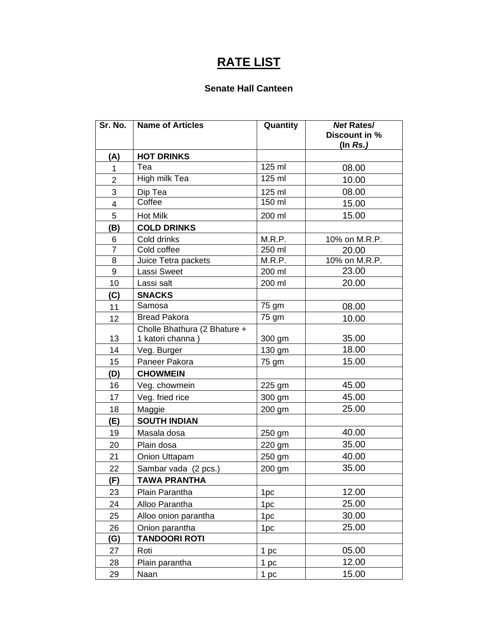# **RATE LIST**

#### **Senate Hall Canteen**

| Sr. No.                 | <b>Name of Articles</b>      | Quantity        | <b>Net Rates/</b><br>Discount in %<br>(In $Rs.$ ) |
|-------------------------|------------------------------|-----------------|---------------------------------------------------|
| (A)                     | <b>HOT DRINKS</b>            |                 |                                                   |
| 1                       | Tea                          | 125 ml          | 08.00                                             |
| $\overline{2}$          | <b>High milk Tea</b>         | 125 ml          | 10.00                                             |
| 3                       | Dip Tea                      | 125 ml          | 08.00                                             |
| $\overline{\mathbf{4}}$ | Coffee                       | 150 ml          | 15.00                                             |
| 5                       | Hot Milk                     | 200 ml          | 15.00                                             |
| (B)                     | <b>COLD DRINKS</b>           |                 |                                                   |
| 6                       | Cold drinks                  | M.R.P.          | 10% on M.R.P.                                     |
| $\overline{7}$          | Cold coffee                  | 250 ml          | 20.00                                             |
| 8                       | Juice Tetra packets          | M.R.P.          | 10% on M.R.P.                                     |
| 9                       | Lassi Sweet                  | 200 ml          | 23.00                                             |
| 10                      | Lassi salt                   | 200 ml          | 20.00                                             |
| (C)                     | <b>SNACKS</b>                |                 |                                                   |
| 11                      | Samosa                       | 75 gm           | 08.00                                             |
| 12                      | <b>Bread Pakora</b>          | 75 gm           | 10.00                                             |
|                         | Cholle Bhathura (2 Bhature + |                 |                                                   |
| 13                      | 1 katori channa)             | 300 gm          | 35.00                                             |
| 14                      | Veg. Burger                  | 130 gm          | 18.00                                             |
| 15                      | Paneer Pakora                | 75 gm           | 15.00                                             |
| (D)                     | <b>CHOWMEIN</b>              |                 |                                                   |
| 16                      | Veg. chowmein                | 225 gm          | 45.00                                             |
| 17                      | Veg. fried rice              | 300 gm          | 45.00                                             |
| 18                      | Maggie                       | 200 gm          | 25.00                                             |
| (E)                     | <b>SOUTH INDIAN</b>          |                 |                                                   |
| 19                      | Masala dosa                  | 250 gm          | 40.00                                             |
| 20                      | Plain dosa                   | 220 gm          | 35.00                                             |
| 21                      | Onion Uttapam                | 250 gm          | 40.00                                             |
| 22                      | Sambar vada (2 pcs.)         | 200 gm          | 35.00                                             |
| (F)                     | <b>TAWA PRANTHA</b>          |                 |                                                   |
| 23                      | Plain Parantha               | 1pc             | 12.00                                             |
| 24                      | Alloo Parantha               | 1pc             | 25.00                                             |
| 25                      | Alloo onion parantha         | 1pc             | 30.00                                             |
| 26                      | Onion parantha               | 1pc             | 25.00                                             |
| (G)                     | <b>TANDOORI ROTI</b>         |                 |                                                   |
| 27                      | Roti                         | 1 <sub>pc</sub> | 05.00                                             |
| 28                      | Plain parantha               | 1 <sub>pc</sub> | 12.00                                             |
| 29                      | Naan                         | 1 <sub>pc</sub> | 15.00                                             |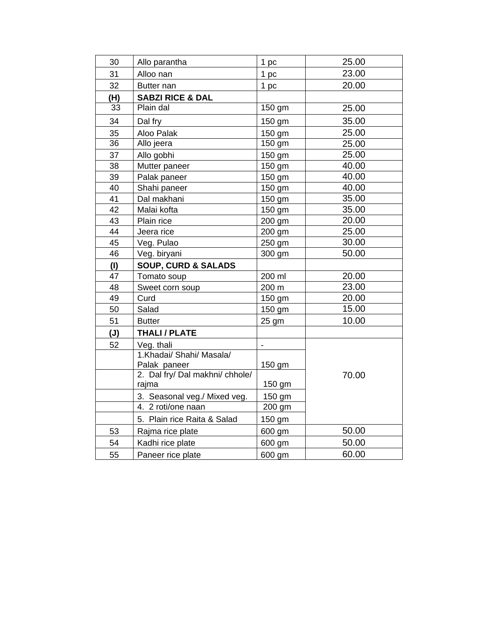| 30  | Allo parantha                   | 1 pc           | 25.00 |
|-----|---------------------------------|----------------|-------|
| 31  | Alloo nan                       | 1 pc           | 23.00 |
| 32  | Butter nan                      | 1 pc           | 20.00 |
| (H) | <b>SABZI RICE &amp; DAL</b>     |                |       |
| 33  | Plain dal                       | 150 gm         | 25.00 |
| 34  | Dal fry                         | 150 gm         | 35.00 |
| 35  | Aloo Palak                      | 150 gm         | 25.00 |
| 36  | Allo jeera                      | 150 gm         | 25.00 |
| 37  | Allo gobhi                      | 150 gm         | 25.00 |
| 38  | Mutter paneer                   | 150 gm         | 40.00 |
| 39  | Palak paneer                    | 150 gm         | 40.00 |
| 40  | Shahi paneer                    | 150 gm         | 40.00 |
| 41  | Dal makhani                     | 150 gm         | 35.00 |
| 42  | Malai kofta                     | 150 gm         | 35.00 |
| 43  | Plain rice                      | 200 gm         | 20.00 |
| 44  | Jeera rice                      | 200 gm         | 25.00 |
| 45  | Veg. Pulao                      | 250 gm         | 30.00 |
| 46  | Veg. biryani                    | 300 gm         | 50.00 |
| (1) | <b>SOUP, CURD &amp; SALADS</b>  |                |       |
| 47  | Tomato soup                     | 200 ml         | 20.00 |
| 48  | Sweet corn soup                 | 200 m          | 23.00 |
| 49  | Curd                            | 150 gm         | 20.00 |
| 50  | Salad                           | 150 gm         | 15.00 |
| 51  | <b>Butter</b>                   | 25 gm          | 10.00 |
| (J) | <b>THALI / PLATE</b>            |                |       |
| 52  | Veg. thali                      | $\blacksquare$ |       |
|     | 1. Khadai/ Shahi/ Masala/       |                |       |
|     | Palak paneer                    | 150 gm         |       |
|     | 2. Dal fry/ Dal makhni/ chhole/ |                | 70.00 |
|     | rajma                           | 150 gm         |       |
|     | 3. Seasonal veg./ Mixed veg.    | 150 gm         |       |
|     | 4. 2 roti/one naan              | 200 gm         |       |
|     | 5. Plain rice Raita & Salad     | 150 gm         |       |
| 53  | Rajma rice plate                | 600 gm         | 50.00 |
| 54  | Kadhi rice plate                | 600 gm         | 50.00 |
| 55  | Paneer rice plate               | 600 gm         | 60.00 |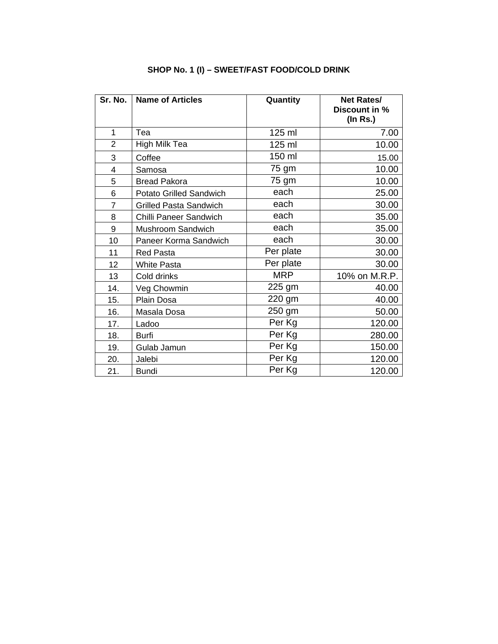| Sr. No.        | <b>Name of Articles</b>       | Quantity   | <b>Net Rates/</b> |
|----------------|-------------------------------|------------|-------------------|
|                |                               |            | Discount in %     |
|                |                               |            | $($ In Rs. $)$    |
| 1              | Tea                           | 125 ml     | 7.00              |
| $\overline{2}$ | High Milk Tea                 | 125 ml     | 10.00             |
| 3              | Coffee                        | 150 ml     | 15.00             |
| 4              | Samosa                        | 75 gm      | 10.00             |
| 5              | <b>Bread Pakora</b>           | 75 gm      | 10.00             |
| 6              | Potato Grilled Sandwich       | each       | 25.00             |
| $\overline{7}$ | <b>Grilled Pasta Sandwich</b> | each       | 30.00             |
| 8              | Chilli Paneer Sandwich        | each       | 35.00             |
| 9              | Mushroom Sandwich             | each       | 35.00             |
| 10             | Paneer Korma Sandwich         | each       | 30.00             |
| 11             | <b>Red Pasta</b>              | Per plate  | 30.00             |
| 12             | <b>White Pasta</b>            | Per plate  | 30.00             |
| 13             | Cold drinks                   | <b>MRP</b> | 10% on M.R.P.     |
| 14.            | Veg Chowmin                   | 225 gm     | 40.00             |
| 15.            | Plain Dosa                    | 220 gm     | 40.00             |
| 16.            | Masala Dosa                   | 250 gm     | 50.00             |
| 17.            | Ladoo                         | Per Kg     | 120.00            |
| 18.            | Burfi                         | Per Kg     | 280.00            |
| 19.            | Gulab Jamun                   | Per Kg     | 150.00            |
| 20.            | Jalebi                        | Per Kg     | 120.00            |
| 21.            | <b>Bundi</b>                  | Per Kg     | 120.00            |

# **SHOP No. 1 (I) – SWEET/FAST FOOD/COLD DRINK**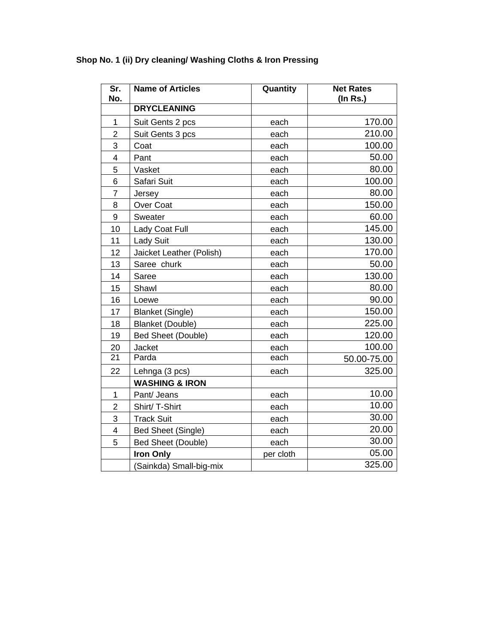| Sr.<br>No.     | <b>Name of Articles</b>   | Quantity  | <b>Net Rates</b><br>$($ In Rs. $)$ |
|----------------|---------------------------|-----------|------------------------------------|
|                | <b>DRYCLEANING</b>        |           |                                    |
| 1              | Suit Gents 2 pcs          | each      | 170.00                             |
| $\overline{2}$ | Suit Gents 3 pcs          | each      | 210.00                             |
| 3              | Coat                      | each      | 100.00                             |
| 4              | Pant                      | each      | 50.00                              |
| 5              | Vasket                    | each      | 80.00                              |
| 6              | Safari Suit               | each      | 100.00                             |
| 7              | Jersey                    | each      | 80.00                              |
| 8              | Over Coat                 | each      | 150.00                             |
| 9              | Sweater                   | each      | 60.00                              |
| 10             | Lady Coat Full            | each      | 145.00                             |
| 11             | <b>Lady Suit</b>          | each      | 130.00                             |
| 12             | Jaicket Leather (Polish)  | each      | 170.00                             |
| 13             | Saree churk               | each      | 50.00                              |
| 14             | Saree                     | each      | 130.00                             |
| 15             | Shawl                     | each      | 80.00                              |
| 16             | Loewe                     | each      | 90.00                              |
| 17             | <b>Blanket (Single)</b>   | each      | 150.00                             |
| 18             | <b>Blanket (Double)</b>   | each      | 225.00                             |
| 19             | <b>Bed Sheet (Double)</b> | each      | 120.00                             |
| 20             | Jacket                    | each      | 100.00                             |
| 21             | Parda                     | each      | 50.00-75.00                        |
| 22             | Lehnga (3 pcs)            | each      | 325.00                             |
|                | <b>WASHING &amp; IRON</b> |           |                                    |
| $\mathbf{1}$   | Pant/ Jeans               | each      | 10.00                              |
| $\overline{2}$ | Shirt/T-Shirt             | each      | 10.00                              |
| 3              | <b>Track Suit</b>         | each      | 30.00                              |
| $\overline{4}$ | Bed Sheet (Single)        | each      | 20.00                              |
| 5              | <b>Bed Sheet (Double)</b> | each      | 30.00                              |
|                | <b>Iron Only</b>          | per cloth | 05.00                              |
|                | (Sainkda) Small-big-mix   |           | 325.00                             |

# **Shop No. 1 (ii) Dry cleaning/ Washing Cloths & Iron Pressing**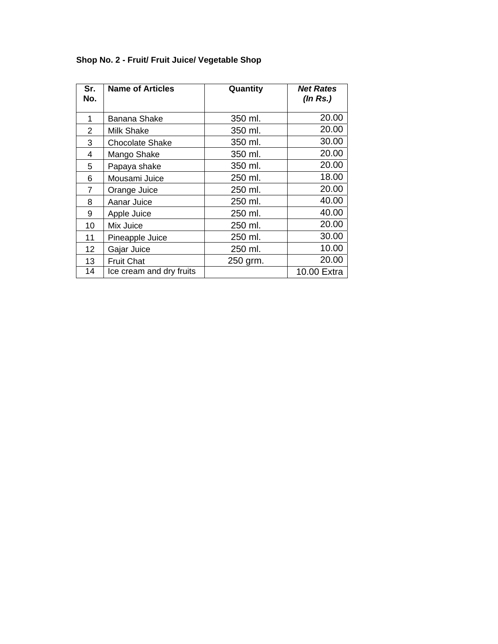| Sr.<br>No. | <b>Name of Articles</b>  | Quantity | <b>Net Rates</b><br>(In Rs.) |
|------------|--------------------------|----------|------------------------------|
| 1          | <b>Banana Shake</b>      | 350 ml.  | 20.00                        |
| 2          | Milk Shake               | 350 ml.  | 20.00                        |
| 3          | <b>Chocolate Shake</b>   | 350 ml.  | 30.00                        |
| 4          | Mango Shake              | 350 ml.  | 20.00                        |
| 5          | Papaya shake             | 350 ml.  | 20.00                        |
| 6          | Mousami Juice            | 250 ml.  | 18.00                        |
| 7          | Orange Juice             | 250 ml.  | 20.00                        |
| 8          | Aanar Juice              | 250 ml.  | 40.00                        |
| 9          | Apple Juice              | 250 ml.  | 40.00                        |
| 10         | Mix Juice                | 250 ml.  | 20.00                        |
| 11         | Pineapple Juice          | 250 ml.  | 30.00                        |
| 12         | Gajar Juice              | 250 ml.  | 10.00                        |
| 13         | <b>Fruit Chat</b>        | 250 grm. | 20.00                        |
| 14         | Ice cream and dry fruits |          | 10.00 Extra                  |

# **Shop No. 2 - Fruit/ Fruit Juice/ Vegetable Shop**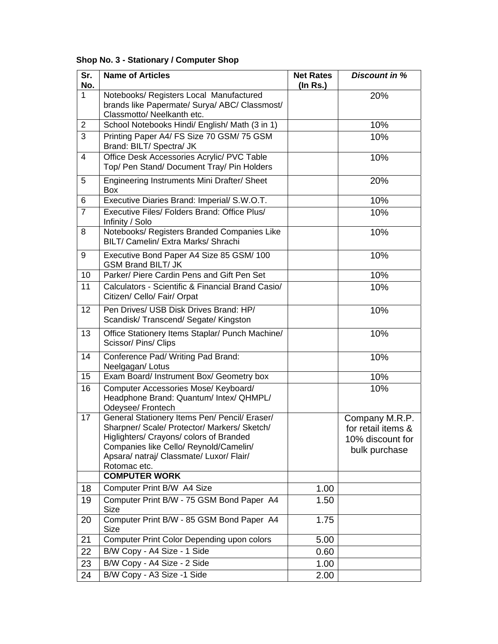| Sr.<br>No.     | <b>Name of Articles</b>                                                                                                                                                                                                                                                | <b>Net Rates</b><br>$($ ln Rs. $)$ | <b>Discount in %</b>                                                      |
|----------------|------------------------------------------------------------------------------------------------------------------------------------------------------------------------------------------------------------------------------------------------------------------------|------------------------------------|---------------------------------------------------------------------------|
| 1              | Notebooks/ Registers Local Manufactured<br>brands like Papermate/ Surya/ ABC/ Classmost/<br>Classmotto/ Neelkanth etc.                                                                                                                                                 |                                    | 20%                                                                       |
| $\overline{2}$ | School Notebooks Hindi/ English/ Math (3 in 1)                                                                                                                                                                                                                         |                                    | 10%                                                                       |
| $\overline{3}$ | Printing Paper A4/ FS Size 70 GSM/ 75 GSM<br>Brand: BILT/ Spectra/ JK                                                                                                                                                                                                  |                                    | 10%                                                                       |
| 4              | Office Desk Accessories Acrylic/ PVC Table<br>Top/ Pen Stand/ Document Tray/ Pin Holders                                                                                                                                                                               |                                    | 10%                                                                       |
| 5              | Engineering Instruments Mini Drafter/ Sheet<br><b>Box</b>                                                                                                                                                                                                              |                                    | 20%                                                                       |
| 6              | Executive Diaries Brand: Imperial/ S.W.O.T.                                                                                                                                                                                                                            |                                    | 10%                                                                       |
| $\overline{7}$ | Executive Files/ Folders Brand: Office Plus/<br>Infinity / Solo                                                                                                                                                                                                        |                                    | 10%                                                                       |
| 8              | Notebooks/ Registers Branded Companies Like<br>BILT/ Camelin/ Extra Marks/ Shrachi                                                                                                                                                                                     |                                    | 10%                                                                       |
| 9              | Executive Bond Paper A4 Size 85 GSM/ 100<br><b>GSM Brand BILT/ JK</b>                                                                                                                                                                                                  |                                    | 10%                                                                       |
| 10             | Parker/ Piere Cardin Pens and Gift Pen Set                                                                                                                                                                                                                             |                                    | 10%                                                                       |
| 11             | Calculators - Scientific & Financial Brand Casio/<br>Citizen/ Cello/ Fair/ Orpat                                                                                                                                                                                       |                                    | 10%                                                                       |
| 12             | Pen Drives/ USB Disk Drives Brand: HP/<br>Scandisk/Transcend/Segate/Kingston                                                                                                                                                                                           |                                    | 10%                                                                       |
| 13             | Office Stationery Items Staplar/ Punch Machine/<br>Scissor/ Pins/ Clips                                                                                                                                                                                                |                                    | 10%                                                                       |
| 14             | Conference Pad/ Writing Pad Brand:<br>Neelgagan/ Lotus                                                                                                                                                                                                                 |                                    | 10%                                                                       |
| 15             | Exam Board/ Instrument Box/ Geometry box                                                                                                                                                                                                                               |                                    | 10%                                                                       |
| 16             | Computer Accessories Mose/ Keyboard/<br>Headphone Brand: Quantum/ Intex/ QHMPL/<br>Odeysee/ Frontech                                                                                                                                                                   |                                    | 10%                                                                       |
| 17             | General Stationery Items Pen/ Pencil/ Eraser/<br>Sharpner/ Scale/ Protector/ Markers/ Sketch/<br>Higlighters/ Crayons/ colors of Branded<br>Companies like Cello/ Reynold/Camelin/<br>Apsara/ natraj/ Classmate/ Luxor/ Flair/<br>Rotomac etc.<br><b>COMPUTER WORK</b> |                                    | Company M.R.P.<br>for retail items &<br>10% discount for<br>bulk purchase |
|                |                                                                                                                                                                                                                                                                        |                                    |                                                                           |
| 18             | Computer Print B/W A4 Size                                                                                                                                                                                                                                             | 1.00                               |                                                                           |
| 19             | Computer Print B/W - 75 GSM Bond Paper A4<br><b>Size</b>                                                                                                                                                                                                               | 1.50                               |                                                                           |
| 20             | Computer Print B/W - 85 GSM Bond Paper A4<br>Size                                                                                                                                                                                                                      | 1.75                               |                                                                           |
| 21             | Computer Print Color Depending upon colors                                                                                                                                                                                                                             | 5.00                               |                                                                           |
| 22             | B/W Copy - A4 Size - 1 Side                                                                                                                                                                                                                                            | 0.60                               |                                                                           |
| 23             | B/W Copy - A4 Size - 2 Side                                                                                                                                                                                                                                            | 1.00                               |                                                                           |
| 24             | B/W Copy - A3 Size -1 Side                                                                                                                                                                                                                                             | 2.00                               |                                                                           |

# **Shop No. 3 - Stationary / Computer Shop**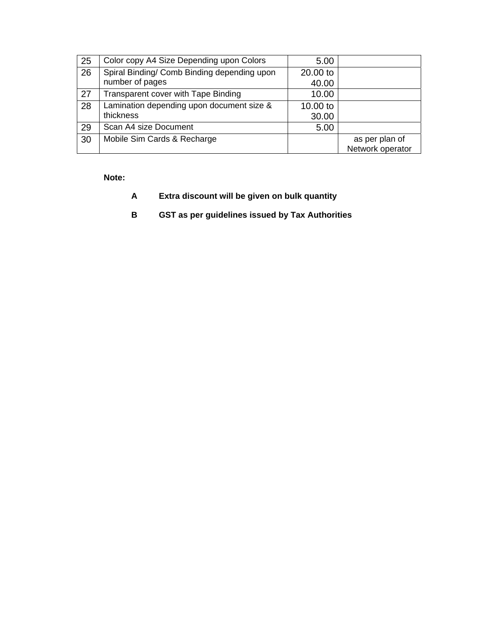| 25 | Color copy A4 Size Depending upon Colors    | 5.00     |                  |
|----|---------------------------------------------|----------|------------------|
| 26 | Spiral Binding/ Comb Binding depending upon | 20.00 to |                  |
|    | number of pages                             | 40.00    |                  |
| 27 | Transparent cover with Tape Binding         | 10.00    |                  |
| 28 | Lamination depending upon document size &   | 10.00 to |                  |
|    | thickness                                   | 30.00    |                  |
| 29 | Scan A4 size Document                       | 5.00     |                  |
| 30 | Mobile Sim Cards & Recharge                 |          | as per plan of   |
|    |                                             |          | Network operator |

#### **Note:**

- **A Extra discount will be given on bulk quantity**
- **B GST as per guidelines issued by Tax Authorities**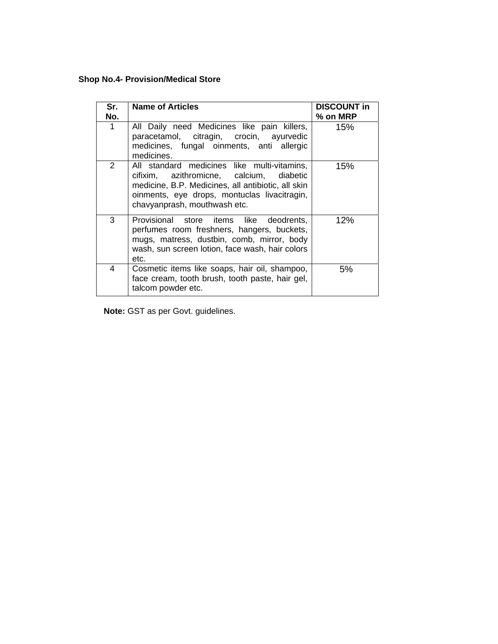# **Shop No.4- Provision/Medical Store**

| Sr.<br>No.     | <b>Name of Articles</b>                                                                                                                                                                                                       | <b>DISCOUNT in</b><br>% on MRP |
|----------------|-------------------------------------------------------------------------------------------------------------------------------------------------------------------------------------------------------------------------------|--------------------------------|
| 1              | All Daily need Medicines like pain killers,<br>paracetamol, citragin, crocin, ayurvedic<br>medicines, fungal oinments, anti allergic<br>medicines.                                                                            | 15%                            |
| $\overline{2}$ | All standard medicines like multi-vitamins,<br>cifixim, azithromicne, calcium, diabetic<br>medicine, B.P. Medicines, all antibiotic, all skin<br>oinments, eye drops, montuclas livacitragin,<br>chavyanprash, mouthwash etc. | 15%                            |
| 3              | Provisional store items like deodrents,<br>perfumes room freshners, hangers, buckets,<br>mugs, matress, dustbin, comb, mirror, body<br>wash, sun screen lotion, face wash, hair colors<br>etc.                                | 12%                            |
| 4              | Cosmetic items like soaps, hair oil, shampoo,<br>face cream, tooth brush, tooth paste, hair gel,<br>talcom powder etc.                                                                                                        | 5%                             |

**Note:** GST as per Govt. guidelines.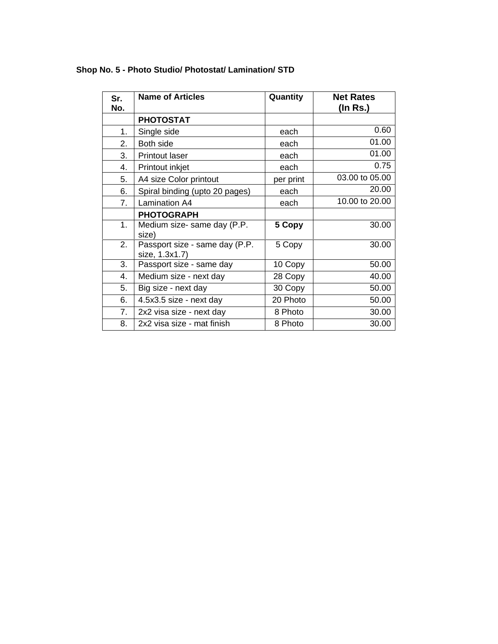| Sr.<br>No. | <b>Name of Articles</b>                          | Quantity  | <b>Net Rates</b><br>(In Rs.) |
|------------|--------------------------------------------------|-----------|------------------------------|
|            | <b>PHOTOSTAT</b>                                 |           |                              |
| 1.         | Single side                                      | each      | 0.60                         |
| 2.         | Both side                                        | each      | 01.00                        |
| 3.         | <b>Printout laser</b>                            | each      | 01.00                        |
| 4.         | Printout inkjet                                  | each      | 0.75                         |
| 5.         | A4 size Color printout                           | per print | 03.00 to 05.00               |
| 6.         | Spiral binding (upto 20 pages)                   | each      | 20.00                        |
| 7.         | <b>Lamination A4</b>                             | each      | 10.00 to 20.00               |
|            | <b>PHOTOGRAPH</b>                                |           |                              |
| 1.         | Medium size- same day (P.P.<br>size)             | 5 Copy    | 30.00                        |
| 2.         | Passport size - same day (P.P.<br>size, 1.3x1.7) | 5 Copy    | 30.00                        |
| 3.         | Passport size - same day                         | 10 Copy   | 50.00                        |
| 4.         | Medium size - next day                           | 28 Copy   | 40.00                        |
| 5.         | Big size - next day                              | 30 Copy   | 50.00                        |
| 6.         | 4.5x3.5 size - next day                          | 20 Photo  | 50.00                        |
| 7.         | 2x2 visa size - next day                         | 8 Photo   | 30.00                        |
| 8.         | 2x2 visa size - mat finish                       | 8 Photo   | 30.00                        |

# **Shop No. 5 - Photo Studio/ Photostat/ Lamination/ STD**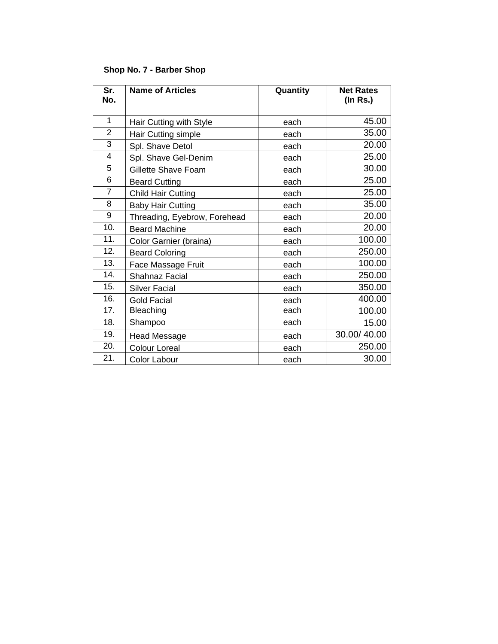#### **Shop No. 7 - Barber Shop**

| Sr.<br>No.     | <b>Name of Articles</b>      | Quantity | <b>Net Rates</b><br>$($ In Rs. $)$ |
|----------------|------------------------------|----------|------------------------------------|
| 1              | Hair Cutting with Style      | each     | 45.00                              |
| $\overline{2}$ | Hair Cutting simple          | each     | 35.00                              |
| 3              | Spl. Shave Detol             | each     | 20.00                              |
| 4              | Spl. Shave Gel-Denim         | each     | 25.00                              |
| 5              | Gillette Shave Foam          | each     | 30.00                              |
| 6              | <b>Beard Cutting</b>         | each     | 25.00                              |
| $\overline{7}$ | <b>Child Hair Cutting</b>    | each     | 25.00                              |
| 8              | <b>Baby Hair Cutting</b>     | each     | 35.00                              |
| 9              | Threading, Eyebrow, Forehead | each     | 20.00                              |
| 10.            | <b>Beard Machine</b>         | each     | 20.00                              |
| 11.            | Color Garnier (braina)       | each     | 100.00                             |
| 12.            | <b>Beard Coloring</b>        | each     | 250.00                             |
| 13.            | Face Massage Fruit           | each     | 100.00                             |
| 14.            | <b>Shahnaz Facial</b>        | each     | 250.00                             |
| 15.            | <b>Silver Facial</b>         | each     | 350.00                             |
| 16.            | <b>Gold Facial</b>           | each     | 400.00                             |
| 17.            | <b>Bleaching</b>             | each     | 100.00                             |
| 18.            | Shampoo                      | each     | 15.00                              |
| 19.            | <b>Head Message</b>          | each     | 30.00/40.00                        |
| 20.            | <b>Colour Loreal</b>         | each     | 250.00                             |
| 21.            | Color Labour                 | each     | 30.00                              |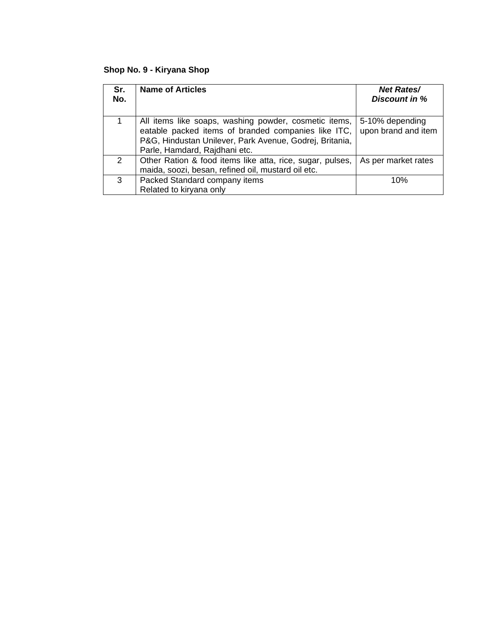# **Shop No. 9 - Kiryana Shop**

| Sr.<br>No.    | <b>Name of Articles</b>                                                                                                                                                                                  | <b>Net Rates/</b><br>Discount in %     |
|---------------|----------------------------------------------------------------------------------------------------------------------------------------------------------------------------------------------------------|----------------------------------------|
| 1             | All items like soaps, washing powder, cosmetic items,<br>eatable packed items of branded companies like ITC,<br>P&G, Hindustan Unilever, Park Avenue, Godrej, Britania,<br>Parle, Hamdard, Rajdhani etc. | 5-10% depending<br>upon brand and item |
| $\mathcal{P}$ | Other Ration & food items like atta, rice, sugar, pulses,<br>maida, soozi, besan, refined oil, mustard oil etc.                                                                                          | As per market rates                    |
| 3             | Packed Standard company items<br>Related to kiryana only                                                                                                                                                 | 10%                                    |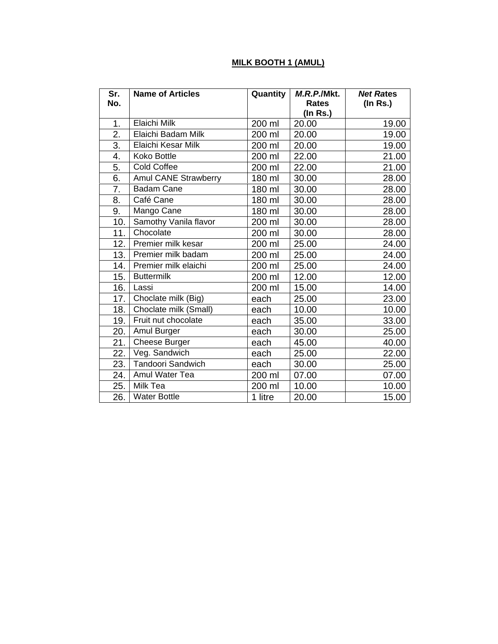#### **MILK BOOTH 1 (AMUL)**

| Sr.<br>No. | <b>Name of Articles</b> | <b>Quantity</b> | M.R.P./Mkt.<br><b>Rates</b> | <b>Net Rates</b><br>$($ In Rs. $)$ |
|------------|-------------------------|-----------------|-----------------------------|------------------------------------|
|            |                         |                 | (In Rs.)                    |                                    |
| 1.         | Elaichi Milk            | 200 ml          | 20.00                       | 19.00                              |
| 2.         | Elaichi Badam Milk      | 200 ml          | 20.00                       | 19.00                              |
| 3.         | Elaichi Kesar Milk      | 200 ml          | 20.00                       | 19.00                              |
| 4.         | Koko Bottle             | 200 ml          | 22.00                       | 21.00                              |
| 5.         | <b>Cold Coffee</b>      | 200 ml          | 22.00                       | 21.00                              |
| 6.         | Amul CANE Strawberry    | 180 ml          | 30.00                       | 28.00                              |
| 7.         | <b>Badam Cane</b>       | 180 ml          | 30.00                       | 28.00                              |
| 8.         | Café Cane               | 180 ml          | 30.00                       | 28.00                              |
| 9.         | Mango Cane              | 180 ml          | 30.00                       | 28.00                              |
| 10.        | Samothy Vanila flavor   | 200 ml          | 30.00                       | 28.00                              |
| 11.        | Chocolate               | 200 ml          | 30.00                       | 28.00                              |
| 12.        | Premier milk kesar      | 200 ml          | 25.00                       | 24.00                              |
| 13.        | Premier milk badam      | 200 ml          | 25.00                       | 24.00                              |
| 14.        | Premier milk elaichi    | 200 ml          | 25.00                       | 24.00                              |
| 15.        | <b>Buttermilk</b>       | 200 ml          | 12.00                       | 12.00                              |
| 16.        | Lassi                   | 200 ml          | 15.00                       | 14.00                              |
| 17.        | Choclate milk (Big)     | each            | 25.00                       | 23.00                              |
| 18.        | Choclate milk (Small)   | each            | 10.00                       | 10.00                              |
| 19.        | Fruit nut chocolate     | each            | 35.00                       | 33.00                              |
| 20.        | Amul Burger             | each            | 30.00                       | 25.00                              |
| 21.        | Cheese Burger           | each            | 45.00                       | 40.00                              |
| 22.        | Veg. Sandwich           | each            | 25.00                       | 22.00                              |
| 23.        | Tandoori Sandwich       | each            | 30.00                       | 25.00                              |
| 24.        | Amul Water Tea          | 200 ml          | 07.00                       | 07.00                              |
| 25.        | Milk Tea                | 200 ml          | 10.00                       | 10.00                              |
| 26.        | <b>Water Bottle</b>     | 1 litre         | 20.00                       | 15.00                              |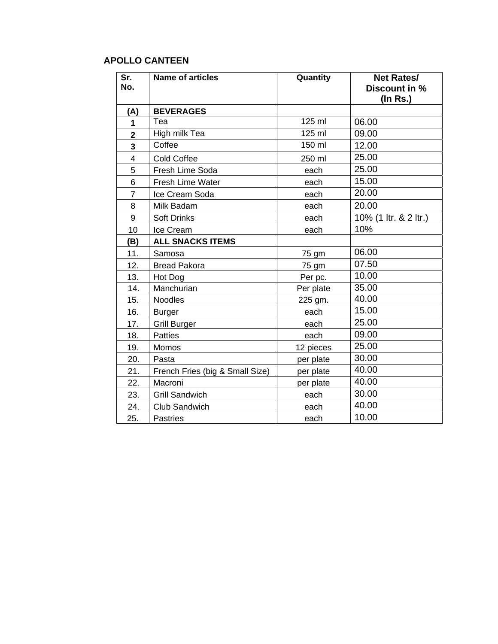# **APOLLO CANTEEN**

| Sr.<br>No.     | <b>Name of articles</b>         | Quantity  | <b>Net Rates/</b><br>Discount in %<br>(In Rs.) |
|----------------|---------------------------------|-----------|------------------------------------------------|
| (A)            | <b>BEVERAGES</b>                |           |                                                |
| 1              | Tea                             | 125 ml    | 06.00                                          |
| $\overline{2}$ | High milk Tea                   | 125 ml    | 09.00                                          |
| 3              | Coffee                          | 150 ml    | 12.00                                          |
| $\overline{4}$ | Cold Coffee                     | 250 ml    | 25.00                                          |
| 5              | Fresh Lime Soda                 | each      | 25.00                                          |
| 6              | Fresh Lime Water                | each      | 15.00                                          |
| $\overline{7}$ | Ice Cream Soda                  | each      | 20.00                                          |
| 8              | Milk Badam                      | each      | 20.00                                          |
| 9              | <b>Soft Drinks</b>              | each      | 10% (1 ltr. & 2 ltr.)                          |
| 10             | Ice Cream                       | each      | 10%                                            |
| (B)            | <b>ALL SNACKS ITEMS</b>         |           |                                                |
| 11.            | Samosa                          | 75 gm     | 06.00                                          |
| 12.            | <b>Bread Pakora</b>             | 75 gm     | 07.50                                          |
| 13.            | Hot Dog                         | Per pc.   | 10.00                                          |
| 14.            | Manchurian                      | Per plate | 35.00                                          |
| 15.            | Noodles                         | 225 gm.   | 40.00                                          |
| 16.            | <b>Burger</b>                   | each      | 15.00                                          |
| 17.            | <b>Grill Burger</b>             | each      | 25.00                                          |
| 18.            | <b>Patties</b>                  | each      | 09.00                                          |
| 19.            | Momos                           | 12 pieces | 25.00                                          |
| 20.            | Pasta                           | per plate | 30.00                                          |
| 21.            | French Fries (big & Small Size) | per plate | 40.00                                          |
| 22.            | Macroni                         | per plate | 40.00                                          |
| 23.            | <b>Grill Sandwich</b>           | each      | 30.00                                          |
| 24.            | Club Sandwich                   | each      | 40.00                                          |
| 25.            | <b>Pastries</b>                 | each      | 10.00                                          |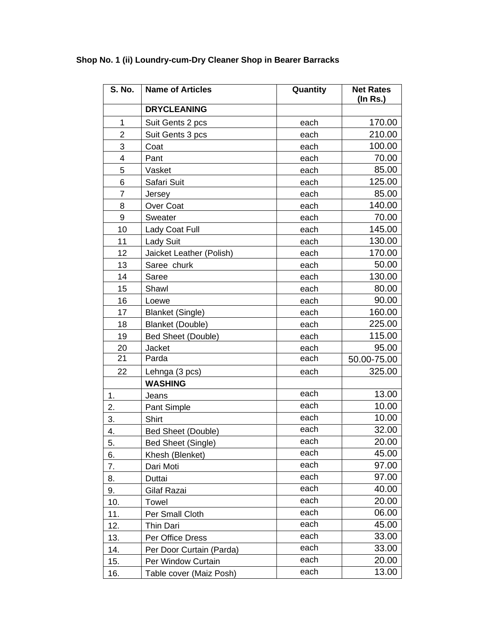| S. No.         | <b>Name of Articles</b>   | Quantity | <b>Net Rates</b><br>$($ ln Rs. $)$ |
|----------------|---------------------------|----------|------------------------------------|
|                | <b>DRYCLEANING</b>        |          |                                    |
| $\mathbf{1}$   | Suit Gents 2 pcs          | each     | 170.00                             |
| $\overline{2}$ | Suit Gents 3 pcs          | each     | 210.00                             |
| 3              | Coat                      | each     | 100.00                             |
| 4              | Pant                      | each     | 70.00                              |
| 5              | Vasket                    | each     | 85.00                              |
| 6              | Safari Suit               | each     | 125.00                             |
| 7              | Jersey                    | each     | 85.00                              |
| 8              | Over Coat                 | each     | 140.00                             |
| 9              | Sweater                   | each     | 70.00                              |
| 10             | Lady Coat Full            | each     | 145.00                             |
| 11             | <b>Lady Suit</b>          | each     | 130.00                             |
| 12             | Jaicket Leather (Polish)  | each     | 170.00                             |
| 13             | Saree churk               | each     | 50.00                              |
| 14             | Saree                     | each     | 130.00                             |
| 15             | Shawl                     | each     | 80.00                              |
| 16             | Loewe                     | each     | 90.00                              |
| 17             | <b>Blanket (Single)</b>   | each     | 160.00                             |
| 18             | <b>Blanket (Double)</b>   | each     | 225.00                             |
| 19             | Bed Sheet (Double)        | each     | 115.00                             |
| 20             | Jacket                    | each     | 95.00                              |
| 21             | Parda                     | each     | 50.00-75.00                        |
| 22             | Lehnga (3 pcs)            | each     | 325.00                             |
|                | <b>WASHING</b>            |          |                                    |
| 1.             | Jeans                     | each     | 13.00                              |
| 2.             | Pant Simple               | each     | 10.00                              |
| 3.             | Shirt                     | each     | 10.00                              |
| 4.             | <b>Bed Sheet (Double)</b> | each     | 32.00                              |
| 5.             | <b>Bed Sheet (Single)</b> | each     | 20.00                              |
| 6.             | Khesh (Blenket)           | each     | 45.00                              |
| 7.             | Dari Moti                 | each     | 97.00                              |
| 8.             | Duttai                    | each     | 97.00                              |
| 9.             | Gilaf Razai               | each     | 40.00                              |
| 10.            | Towel                     | each     | 20.00                              |
| 11.            | Per Small Cloth           | each     | 06.00                              |
| 12.            | <b>Thin Dari</b>          | each     | 45.00                              |
| 13.            | Per Office Dress          | each     | 33.00                              |
| 14.            | Per Door Curtain (Parda)  | each     | 33.00                              |
| 15.            | Per Window Curtain        | each     | 20.00                              |
| 16.            | Table cover (Maiz Posh)   | each     | 13.00                              |

# **Shop No. 1 (ii) Loundry-cum-Dry Cleaner Shop in Bearer Barracks**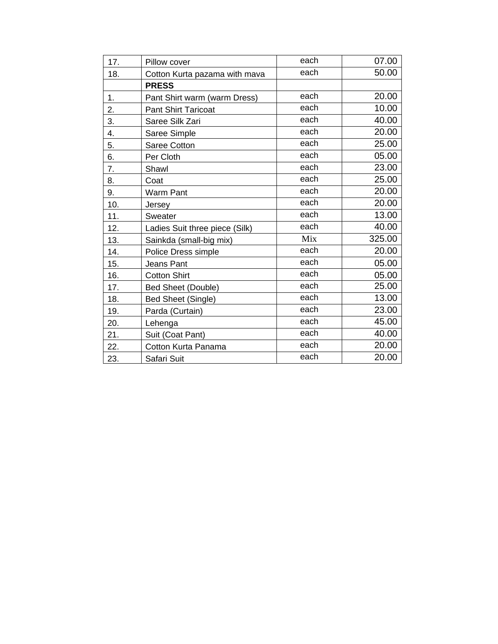| 17. | Pillow cover                   | each | 07.00  |
|-----|--------------------------------|------|--------|
| 18. | Cotton Kurta pazama with mava  | each | 50.00  |
|     | <b>PRESS</b>                   |      |        |
| 1.  | Pant Shirt warm (warm Dress)   | each | 20.00  |
| 2.  | <b>Pant Shirt Taricoat</b>     | each | 10.00  |
| 3.  | Saree Silk Zari                | each | 40.00  |
| 4.  | Saree Simple                   | each | 20.00  |
| 5.  | Saree Cotton                   | each | 25.00  |
| 6.  | Per Cloth                      | each | 05.00  |
| 7.  | Shawl                          | each | 23.00  |
| 8.  | Coat                           | each | 25.00  |
| 9.  | <b>Warm Pant</b>               | each | 20.00  |
| 10. | Jersey                         | each | 20.00  |
| 11. | Sweater                        | each | 13.00  |
| 12. | Ladies Suit three piece (Silk) | each | 40.00  |
| 13. | Sainkda (small-big mix)        | Mix  | 325.00 |
| 14. | Police Dress simple            | each | 20.00  |
| 15. | Jeans Pant                     | each | 05.00  |
| 16. | <b>Cotton Shirt</b>            | each | 05.00  |
| 17. | <b>Bed Sheet (Double)</b>      | each | 25.00  |
| 18. | Bed Sheet (Single)             | each | 13.00  |
| 19. | Parda (Curtain)                | each | 23.00  |
| 20. | Lehenga                        | each | 45.00  |
| 21. | Suit (Coat Pant)               | each | 40.00  |
| 22. | Cotton Kurta Panama            | each | 20.00  |
| 23. | Safari Suit                    | each | 20.00  |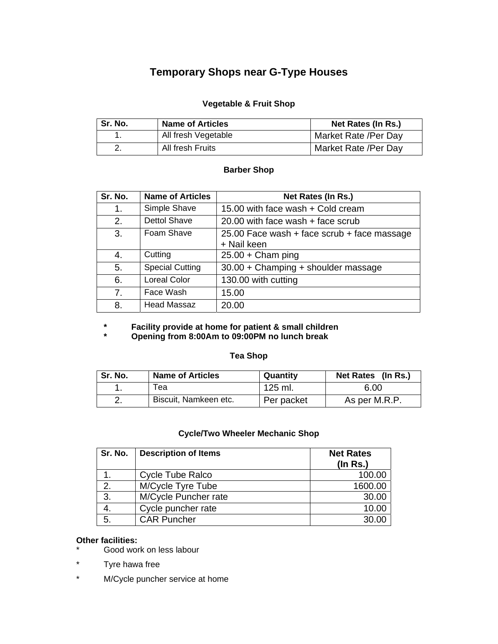# **Temporary Shops near G-Type Houses**

#### **Vegetable & Fruit Shop**

| Sr. No. | <b>Name of Articles</b> | Net Rates (In Rs.)   |
|---------|-------------------------|----------------------|
|         | All fresh Vegetable     | Market Rate /Per Day |
|         | All fresh Fruits        | Market Rate /Per Day |

#### **Barber Shop**

| Sr. No.        | <b>Name of Articles</b> | Net Rates (In Rs.)                                         |
|----------------|-------------------------|------------------------------------------------------------|
| 1.             | Simple Shave            | 15.00 with face wash + Cold cream                          |
| 2.             | <b>Dettol Shave</b>     | 20.00 with face wash + face scrub                          |
| 3.             | Foam Shave              | 25.00 Face wash + face scrub + face massage<br>+ Nail keen |
| 4.             | Cutting                 | $25.00 + Cham$ ping                                        |
| 5.             | <b>Special Cutting</b>  | 30.00 + Champing + shoulder massage                        |
| 6.             | <b>Loreal Color</b>     | 130.00 with cutting                                        |
| 7 <sub>1</sub> | Face Wash               | 15.00                                                      |
| 8.             | <b>Head Massaz</b>      | 20.00                                                      |

 **\* Facility provide at home for patient & small children** 

Opening from 8:00Am to 09:00PM no lunch break

#### **Tea Shop**

| Sr. No. | <b>Name of Articles</b> | Quantity   | Net Rates (In Rs.) |
|---------|-------------------------|------------|--------------------|
|         | ⊤еа                     | 125 ml.    | 6.00               |
|         | Biscuit, Namkeen etc.   | Per packet | As per M.R.P.      |

#### **Cycle/Two Wheeler Mechanic Shop**

| Sr. No. | <b>Description of Items</b> | <b>Net Rates</b><br>$($ ln Rs. $)$ |
|---------|-----------------------------|------------------------------------|
|         | Cycle Tube Ralco            | 100.00                             |
| 2.      | M/Cycle Tyre Tube           | 1600.00                            |
| 3.      | M/Cycle Puncher rate        | 30.00                              |
| 4.      | Cycle puncher rate          | 10.00                              |
| 5.      | <b>CAR Puncher</b>          | 30.00                              |

# **Other facilities:**

- Good work on less labour
- \* Tyre hawa free
- \* M/Cycle puncher service at home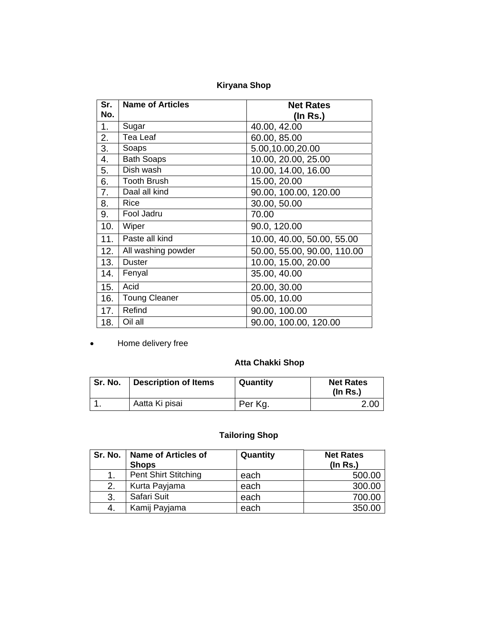# **Kiryana Shop**

| Sr. | <b>Name of Articles</b> | <b>Net Rates</b>            |  |
|-----|-------------------------|-----------------------------|--|
| No. |                         | $($ ln Rs. $)$              |  |
| 1.  | Sugar                   | 40.00, 42.00                |  |
| 2.  | Tea Leaf                | 60.00, 85.00                |  |
| 3.  | Soaps                   | 5.00,10.00,20.00            |  |
| 4.  | <b>Bath Soaps</b>       | 10.00, 20.00, 25.00         |  |
| 5.  | Dish wash               | 10.00, 14.00, 16.00         |  |
| 6.  | <b>Tooth Brush</b>      | 15.00, 20.00                |  |
| 7.  | Daal all kind           | 90.00, 100.00, 120.00       |  |
| 8.  | Rice                    | 30.00, 50.00                |  |
| 9.  | Fool Jadru              | 70.00                       |  |
| 10. | Wiper                   | 90.0, 120.00                |  |
| 11. | Paste all kind          | 10.00, 40.00, 50.00, 55.00  |  |
| 12. | All washing powder      | 50.00, 55.00, 90.00, 110.00 |  |
| 13. | <b>Duster</b>           | 10.00, 15.00, 20.00         |  |
| 14. | Fenyal                  | 35.00, 40.00                |  |
| 15. | Acid                    | 20.00, 30.00                |  |
| 16. | <b>Toung Cleaner</b>    | 05.00, 10.00                |  |
| 17. | Refind                  | 90.00, 100.00               |  |
| 18. | Oil all                 | 90.00, 100.00, 120.00       |  |

• Home delivery free

#### **Atta Chakki Shop**

| Sr. No. | <b>Description of Items</b> | Quantity | <b>Net Rates</b><br>$($ ln Rs. $)$ |
|---------|-----------------------------|----------|------------------------------------|
|         | Aatta Ki pisai              | Per Kg.  | 2.00                               |

# **Tailoring Shop**

|    | Sr. No.   Name of Articles of<br><b>Shops</b> | Quantity | <b>Net Rates</b><br>(In Rs.) |
|----|-----------------------------------------------|----------|------------------------------|
|    | <b>Pent Shirt Stitching</b>                   | each     | 500.00                       |
| 2. | Kurta Payjama                                 | each     | 300.00                       |
| 3. | Safari Suit                                   | each     | 700.00                       |
|    | Kamij Payjama                                 | each     | 350.00                       |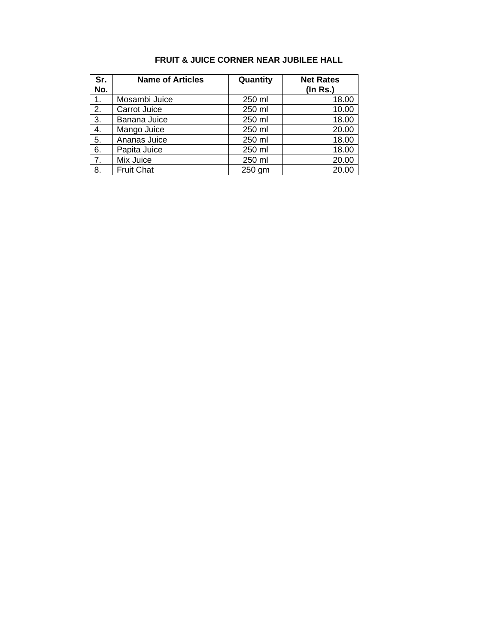| <b>FRUIT &amp; JUICE CORNER NEAR JUBILEE HALL</b> |
|---------------------------------------------------|
|---------------------------------------------------|

| Sr. | <b>Name of Articles</b> | Quantity | <b>Net Rates</b> |
|-----|-------------------------|----------|------------------|
| No. |                         |          | $($ In Rs. $)$   |
| 1.  | Mosambi Juice           | 250 ml   | 18.00            |
| 2.  | Carrot Juice            | 250 ml   | 10.00            |
| 3.  | Banana Juice            | 250 ml   | 18.00            |
| 4.  | Mango Juice             | 250 ml   | 20.00            |
| 5.  | Ananas Juice            | 250 ml   | 18.00            |
| 6.  | Papita Juice            | 250 ml   | 18.00            |
| 7.  | Mix Juice               | 250 ml   | 20.00            |
| 8.  | <b>Fruit Chat</b>       | 250 gm   | 20.00            |